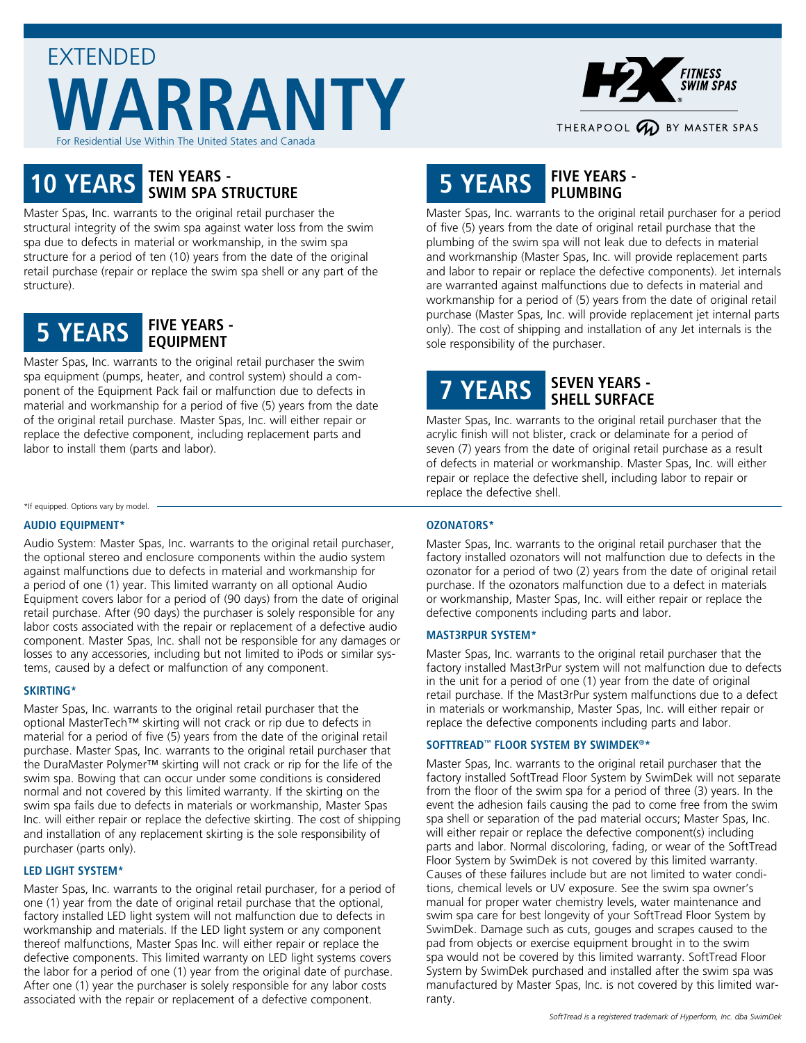## EXTENDED **WARRANTY** or Residential Use Within The United States and Canada



# **10 YEARS TEN YEARS - SWIM SPA STRUCTURE**

Master Spas, Inc. warrants to the original retail purchaser the structural integrity of the swim spa against water loss from the swim spa due to defects in material or workmanship, in the swim spa structure for a period of ten (10) years from the date of the original retail purchase (repair or replace the swim spa shell or any part of the structure).



Master Spas, Inc. warrants to the original retail purchaser the swim spa equipment (pumps, heater, and control system) should a component of the Equipment Pack fail or malfunction due to defects in material and workmanship for a period of five (5) years from the date of the original retail purchase. Master Spas, Inc. will either repair or replace the defective component, including replacement parts and labor to install them (parts and labor).

\*If equipped. Options vary by model.

#### **AUDIO EQUIPMENT\***

Audio System: Master Spas, Inc. warrants to the original retail purchaser, the optional stereo and enclosure components within the audio system against malfunctions due to defects in material and workmanship for a period of one (1) year. This limited warranty on all optional Audio Equipment covers labor for a period of (90 days) from the date of original retail purchase. After (90 days) the purchaser is solely responsible for any labor costs associated with the repair or replacement of a defective audio component. Master Spas, Inc. shall not be responsible for any damages or losses to any accessories, including but not limited to iPods or similar systems, caused by a defect or malfunction of any component.

#### **SKIRTING\***

Master Spas, Inc. warrants to the original retail purchaser that the optional MasterTech™ skirting will not crack or rip due to defects in material for a period of five (5) years from the date of the original retail purchase. Master Spas, Inc. warrants to the original retail purchaser that the DuraMaster Polymer™ skirting will not crack or rip for the life of the swim spa. Bowing that can occur under some conditions is considered normal and not covered by this limited warranty. If the skirting on the swim spa fails due to defects in materials or workmanship, Master Spas Inc. will either repair or replace the defective skirting. The cost of shipping and installation of any replacement skirting is the sole responsibility of purchaser (parts only).

#### **LED LIGHT SYSTEM\***

Master Spas, Inc. warrants to the original retail purchaser, for a period of one (1) year from the date of original retail purchase that the optional, factory installed LED light system will not malfunction due to defects in workmanship and materials. If the LED light system or any component thereof malfunctions, Master Spas Inc. will either repair or replace the defective components. This limited warranty on LED light systems covers the labor for a period of one (1) year from the original date of purchase. After one (1) year the purchaser is solely responsible for any labor costs associated with the repair or replacement of a defective component.

## **5 YEARS FIVE YEARS - PLUMBING**

Master Spas, Inc. warrants to the original retail purchaser for a period of five (5) years from the date of original retail purchase that the plumbing of the swim spa will not leak due to defects in material and workmanship (Master Spas, Inc. will provide replacement parts and labor to repair or replace the defective components). Jet internals are warranted against malfunctions due to defects in material and workmanship for a period of (5) years from the date of original retail purchase (Master Spas, Inc. will provide replacement jet internal parts only). The cost of shipping and installation of any Jet internals is the sole responsibility of the purchaser.

### **7 YEARS SEVEN YEARS - SHELL SURFACE**

Master Spas, Inc. warrants to the original retail purchaser that the acrylic finish will not blister, crack or delaminate for a period of seven (7) years from the date of original retail purchase as a result of defects in material or workmanship. Master Spas, Inc. will either repair or replace the defective shell, including labor to repair or replace the defective shell.

#### **OZONATORS\***

Master Spas, Inc. warrants to the original retail purchaser that the factory installed ozonators will not malfunction due to defects in the ozonator for a period of two (2) years from the date of original retail purchase. If the ozonators malfunction due to a defect in materials or workmanship, Master Spas, Inc. will either repair or replace the defective components including parts and labor.

#### **MAST3RPUR SYSTEM\***

Master Spas, Inc. warrants to the original retail purchaser that the factory installed Mast3rPur system will not malfunction due to defects in the unit for a period of one (1) year from the date of original retail purchase. If the Mast3rPur system malfunctions due to a defect in materials or workmanship, Master Spas, Inc. will either repair or replace the defective components including parts and labor.

#### **SOFTTREAD™ FLOOR SYSTEM BY SWIMDEK®\***

Master Spas, Inc. warrants to the original retail purchaser that the factory installed SoftTread Floor System by SwimDek will not separate from the floor of the swim spa for a period of three (3) years. In the event the adhesion fails causing the pad to come free from the swim spa shell or separation of the pad material occurs; Master Spas, Inc. will either repair or replace the defective component(s) including parts and labor. Normal discoloring, fading, or wear of the SoftTread Floor System by SwimDek is not covered by this limited warranty. Causes of these failures include but are not limited to water conditions, chemical levels or UV exposure. See the swim spa owner's manual for proper water chemistry levels, water maintenance and swim spa care for best longevity of your SoftTread Floor System by SwimDek. Damage such as cuts, gouges and scrapes caused to the pad from objects or exercise equipment brought in to the swim spa would not be covered by this limited warranty. SoftTread Floor System by SwimDek purchased and installed after the swim spa was manufactured by Master Spas, Inc. is not covered by this limited warranty.